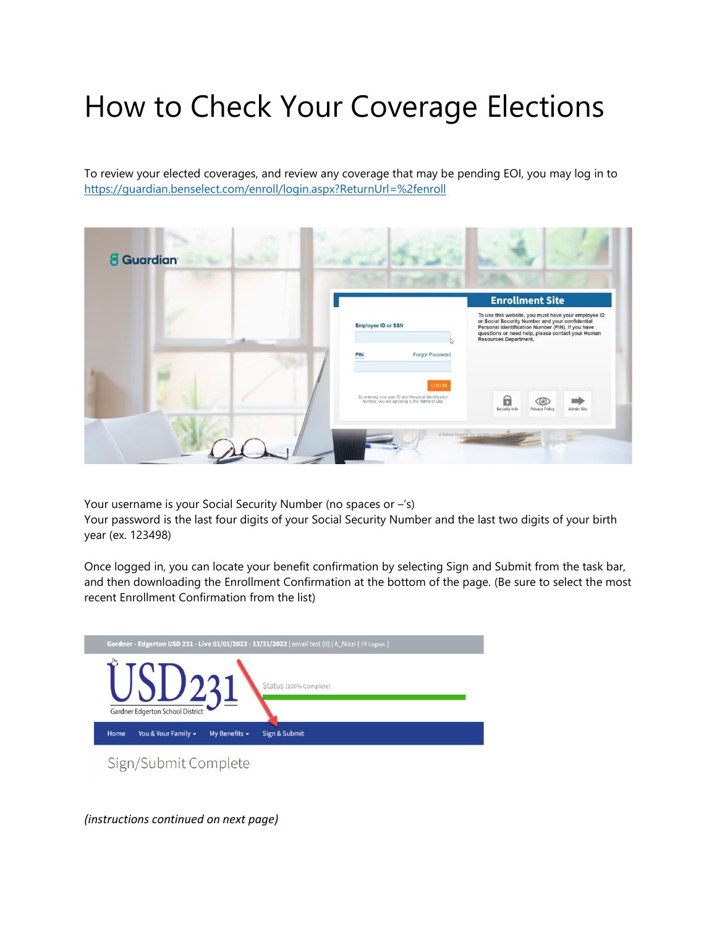## How to Check Your Coverage Elections

To review your elected coverages, and review any coverage that may be pending EOI, you may log in to <https://guardian.benselect.com/enroll/login.aspx?ReturnUrl=%2fenroll>



Your username is your Social Security Number (no spaces or –'s)

Your password is the last four digits of your Social Security Number and the last two digits of your birth year (ex. 123498)

Once logged in, you can locate your benefit confirmation by selecting Sign and Submit from the task bar, and then downloading the Enrollment Confirmation at the bottom of the page. (Be sure to select the most recent Enrollment Confirmation from the list)



*(instructions continued on next page)*